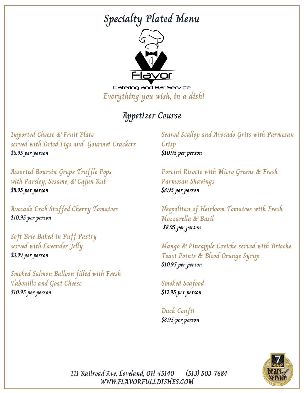

Catering and Bar Service **Everything you wish, in a dish!**

## **Appetizer Course**

**Imported Cheese & Fruit Plate served with Dried Figs and Gourmet Crackers \$6.95 per person**

**Assorted Boursin Grape Truffle Pops with Parsley, Sesame, & Cajun Rub \$8.95 per person**

**Avocado Crab Stuffed Cherry Tomatoes \$10.95 per person**

**Soft Brie Baked in Puff Pastry served with Lavender Jelly \$3.99 per person**

**Smoked Salmon Balloon filled with Fresh Tabouille and Goat Cheese**

**\$10.95 per person**

**Seared Scallop and Avocado Grits with Parmesan Crisp \$10.95 per person**

**Porcini Risotto with Micro Greens & Fresh Parmesan Shavings \$8.95 per person**

**Neopolitan of Heirloom Tomatoes with Fresh Mozzarella & Basil \$8.95 per person**

**Mango & Pineapple Ceviche served with Brioche Toast Points & Blood Orange Syrup \$10.95 per person**

### **Smoked Seafood**

**\$12.95 per person**

**Duck Confit \$8.95 per person**



**WWW.FLAVORFULLDISHES.COM 111 Railroad Ave, Loveland, OH 45140 (513) 503-7684**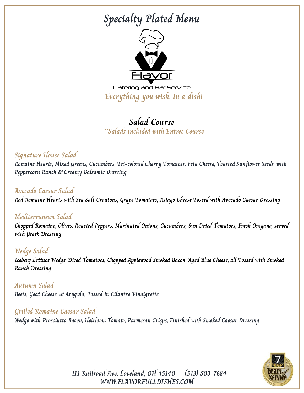

Catering and Bar Service **Everything you wish, in a dish!**

## **Salad Course \*\*Salads included with Entree Course**

#### **Signature House Salad**

**Romaine Hearts, Mixed Greens, Cucumbers, Tri-colored Cherry Tomatoes, Feta Cheese, Toasted Sunflower Seeds, with Peppercorn Ranch & Creamy Balsamic Dressing**

#### **Avocado Caesar Salad**

**Red Romaine Hearts with Sea Salt Croutons, Grape Tomatoes, Asiago Cheese Tossed with Avocado Caesar Dressing**

#### **Mediterranean Salad**

**Chopped Romaine, Olives, Roasted Peppers, Marinated Onions, Cucumbers, Sun Dried Tomatoes, Fresh Oregano, served with Greek Dressing**

**Wedge Salad Iceberg Lettuce Wedge, Diced Tomatoes, Chopped Applewood Smoked Bacon, Aged Blue Cheese, all Tossed with Smoked Ranch Dressing**

**Autumn Salad Beets, Goat Cheese, & Arugula, Tossed in Cilantro Vinaigrette**

### **Grilled Romaine Caesar Salad**

**Wedge with Prosciutto Bacon, Heirloom Tomato, Parmesan Crisps, Finished with Smoked Caesar Dressing**



**111 Railroad Ave, Loveland, OH 45140 (513) 503-7684 WWW.FLAVORFULLDISHES.COM**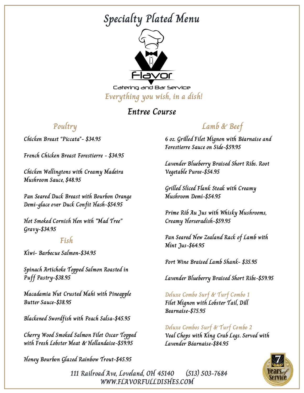

Catering and Bar Service **Everything you wish, in a dish!**

### **Entree Course**

### **Poultry**

**Chicken Breast "Piccata"- \$34.95**

**French Chicken Breast Forestierre - \$34.95**

**Chicken Wellingtons with Creamy Madeira Mushroom Sauce, \$48.95**

**Pan Seared Duck Breast with Bourbon Orange Demi-glace over Duck Confit Hash-\$54.95**

**Hot Smoked Cornish Hen with "Mad Tree" Gravy-\$34.95**

#### **Fish**

**Kiwi- Barbecue Salmon-\$34.95**

**Spinach Artichoke Topped Salmon Roasted in Puff Pastry-\$38.95**

**Macadamia Nut Crusted Mahi with Pineapple Butter Sauce-\$38.95**

**Blackened Swordfish with Peach Salsa-\$45.95**

**Cherry Wood Smoked Salmon Filet Oscar Topped with Fresh Lobster Meat & Hollandaise-\$59.95**

**Honey Bourbon Glazed Rainbow Trout-\$45.95**

## **Lamb & Beef**

**6 oz. Grilled Filet Mignon with Béarnaise and Forestierre Sauce on Side-\$59.95**

**Lavender Blueberry Braised Short Ribs. Root Vegetable Puree-\$54.95**

**Grilled Sliced Flank Steak with Creamy Mushroom Demi-\$54.95**

**Prime Rib Au Jus with Whisky Mushrooms, Creamy Horseradish-\$59.95**

**Pan Seared New Zealand Rack of Lamb with Mint Jus-\$64.95**

**Port Wine Braised Lamb Shank- \$35.95**

**Lavender Blueberry Braised Short Ribs-\$59.95**

**Deluxe Combo Surf & Turf Combo 1 Filet Mignon with Lobster Tail, Dill Bearnaise-\$75.95**

**Deluxe Combos Surf & Turf Combo 2 Veal Chops with King Crab Legs. Served with Lavender Béarnaise-\$84.95**



**111 Railroad Ave, Loveland, OH 45140 (513) 503-7684 WWW.FLAVORFULLDISHES.COM**